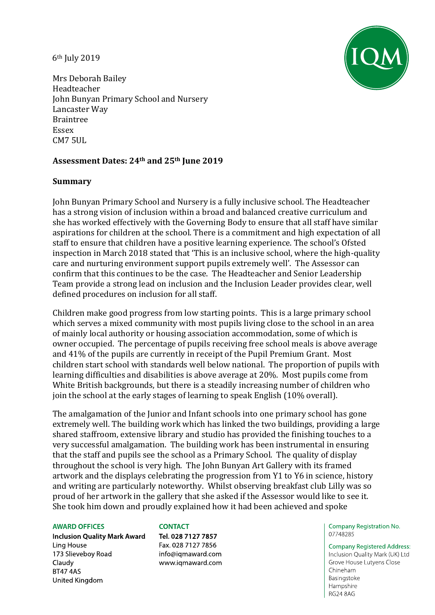6th July 2019



Mrs Deborah Bailey Headteacher John Bunyan Primary School and Nursery Lancaster Way Braintree Essex CM7 5UL

# **Assessment Dates: 24th and 25th June 2019**

### **Summary**

John Bunyan Primary School and Nursery is a fully inclusive school. The Headteacher has a strong vision of inclusion within a broad and balanced creative curriculum and she has worked effectively with the Governing Body to ensure that all staff have similar aspirations for children at the school. There is a commitment and high expectation of all staff to ensure that children have a positive learning experience. The school's Ofsted inspection in March 2018 stated that 'This is an inclusive school, where the high-quality care and nurturing environment support pupils extremely well'. The Assessor can confirm that this continues to be the case. The Headteacher and Senior Leadership Team provide a strong lead on inclusion and the Inclusion Leader provides clear, well defined procedures on inclusion for all staff.

Children make good progress from low starting points. This is a large primary school which serves a mixed community with most pupils living close to the school in an area of mainly local authority or housing association accommodation, some of which is owner occupied. The percentage of pupils receiving free school meals is above average and 41% of the pupils are currently in receipt of the Pupil Premium Grant. Most children start school with standards well below national. The proportion of pupils with learning difficulties and disabilities is above average at 20%. Most pupils come from White British backgrounds, but there is a steadily increasing number of children who join the school at the early stages of learning to speak English (10% overall).

The amalgamation of the Junior and Infant schools into one primary school has gone extremely well. The building work which has linked the two buildings, providing a large shared staffroom, extensive library and studio has provided the finishing touches to a very successful amalgamation. The building work has been instrumental in ensuring that the staff and pupils see the school as a Primary School. The quality of display throughout the school is very high. The John Bunyan Art Gallery with its framed artwork and the displays celebrating the progression from Y1 to Y6 in science, history and writing are particularly noteworthy. Whilst observing breakfast club Lilly was so proud of her artwork in the gallery that she asked if the Assessor would like to see it. She took him down and proudly explained how it had been achieved and spoke

#### **AWARD OFFICES**

**Inclusion Quality Mark Award** Ling House 173 Slieveboy Road Claudy **BT47 4AS** United Kingdom

#### **CONTACT**

Tel. 028 7127 7857 Fax. 028 7127 7856 info@igmaward.com www.iqmaward.com **Company Registration No.** 07748285

**Company Registered Address:** Inclusion Quality Mark (UK) Ltd Grove House Lutyens Close Chineham Basingstoke Hampshire RG24 8AG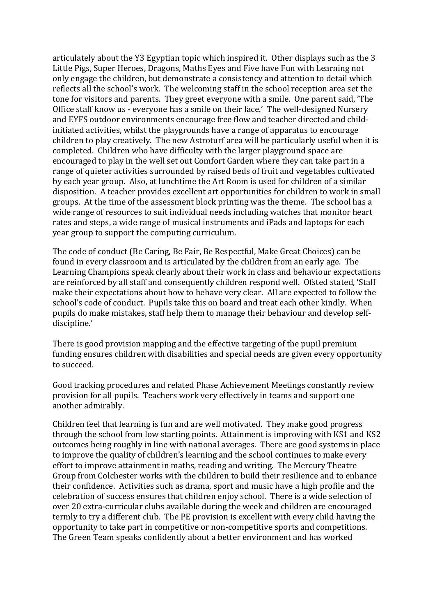articulately about the Y3 Egyptian topic which inspired it. Other displays such as the 3 Little Pigs, Super Heroes, Dragons, Maths Eyes and Five have Fun with Learning not only engage the children, but demonstrate a consistency and attention to detail which reflects all the school's work. The welcoming staff in the school reception area set the tone for visitors and parents. They greet everyone with a smile. One parent said, 'The Office staff know us - everyone has a smile on their face.' The well-designed Nursery and EYFS outdoor environments encourage free flow and teacher directed and childinitiated activities, whilst the playgrounds have a range of apparatus to encourage children to play creatively. The new Astroturf area will be particularly useful when it is completed. Children who have difficulty with the larger playground space are encouraged to play in the well set out Comfort Garden where they can take part in a range of quieter activities surrounded by raised beds of fruit and vegetables cultivated by each year group. Also, at lunchtime the Art Room is used for children of a similar disposition. A teacher provides excellent art opportunities for children to work in small groups. At the time of the assessment block printing was the theme. The school has a wide range of resources to suit individual needs including watches that monitor heart rates and steps, a wide range of musical instruments and iPads and laptops for each year group to support the computing curriculum.

The code of conduct (Be Caring, Be Fair, Be Respectful, Make Great Choices) can be found in every classroom and is articulated by the children from an early age. The Learning Champions speak clearly about their work in class and behaviour expectations are reinforced by all staff and consequently children respond well. Ofsted stated, 'Staff make their expectations about how to behave very clear. All are expected to follow the school's code of conduct. Pupils take this on board and treat each other kindly. When pupils do make mistakes, staff help them to manage their behaviour and develop selfdiscipline.'

There is good provision mapping and the effective targeting of the pupil premium funding ensures children with disabilities and special needs are given every opportunity to succeed.

Good tracking procedures and related Phase Achievement Meetings constantly review provision for all pupils. Teachers work very effectively in teams and support one another admirably.

Children feel that learning is fun and are well motivated. They make good progress through the school from low starting points. Attainment is improving with KS1 and KS2 outcomes being roughly in line with national averages. There are good systems in place to improve the quality of children's learning and the school continues to make every effort to improve attainment in maths, reading and writing. The Mercury Theatre Group from Colchester works with the children to build their resilience and to enhance their confidence. Activities such as drama, sport and music have a high profile and the celebration of success ensures that children enjoy school. There is a wide selection of over 20 extra-curricular clubs available during the week and children are encouraged termly to try a different club. The PE provision is excellent with every child having the opportunity to take part in competitive or non-competitive sports and competitions. The Green Team speaks confidently about a better environment and has worked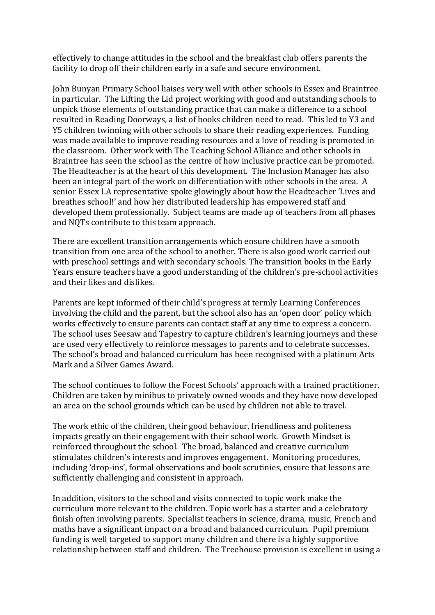effectively to change attitudes in the school and the breakfast club offers parents the facility to drop off their children early in a safe and secure environment.

John Bunyan Primary School liaises very well with other schools in Essex and Braintree in particular. The Lifting the Lid project working with good and outstanding schools to unpick those elements of outstanding practice that can make a difference to a school resulted in Reading Doorways, a list of books children need to read. This led to Y3 and Y5 children twinning with other schools to share their reading experiences. Funding was made available to improve reading resources and a love of reading is promoted in the classroom. Other work with The Teaching School Alliance and other schools in Braintree has seen the school as the centre of how inclusive practice can be promoted. The Headteacher is at the heart of this development. The Inclusion Manager has also been an integral part of the work on differentiation with other schools in the area. A senior Essex LA representative spoke glowingly about how the Headteacher 'Lives and breathes school!' and how her distributed leadership has empowered staff and developed them professionally. Subject teams are made up of teachers from all phases and NQTs contribute to this team approach.

There are excellent transition arrangements which ensure children have a smooth transition from one area of the school to another. There is also good work carried out with preschool settings and with secondary schools. The transition books in the Early Years ensure teachers have a good understanding of the children's pre-school activities and their likes and dislikes.

Parents are kept informed of their child's progress at termly Learning Conferences involving the child and the parent, but the school also has an 'open door' policy which works effectively to ensure parents can contact staff at any time to express a concern. The school uses Seesaw and Tapestry to capture children's learning journeys and these are used very effectively to reinforce messages to parents and to celebrate successes. The school's broad and balanced curriculum has been recognised with a platinum Arts Mark and a Silver Games Award.

The school continues to follow the Forest Schools' approach with a trained practitioner. Children are taken by minibus to privately owned woods and they have now developed an area on the school grounds which can be used by children not able to travel.

The work ethic of the children, their good behaviour, friendliness and politeness impacts greatly on their engagement with their school work. Growth Mindset is reinforced throughout the school. The broad, balanced and creative curriculum stimulates children's interests and improves engagement. Monitoring procedures, including 'drop-ins', formal observations and book scrutinies, ensure that lessons are sufficiently challenging and consistent in approach.

In addition, visitors to the school and visits connected to topic work make the curriculum more relevant to the children. Topic work has a starter and a celebratory finish often involving parents. Specialist teachers in science, drama, music, French and maths have a significant impact on a broad and balanced curriculum. Pupil premium funding is well targeted to support many children and there is a highly supportive relationship between staff and children. The Treehouse provision is excellent in using a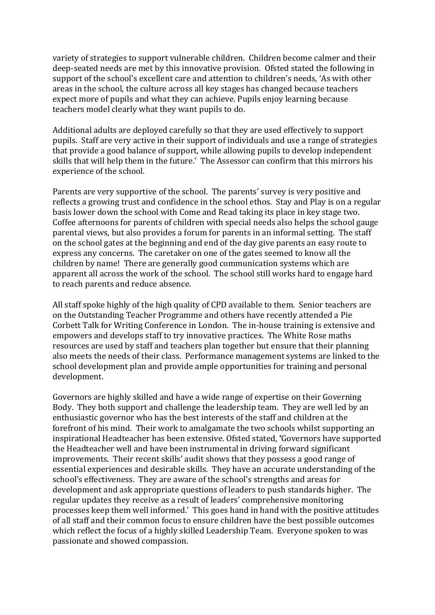variety of strategies to support vulnerable children. Children become calmer and their deep-seated needs are met by this innovative provision. Ofsted stated the following in support of the school's excellent care and attention to children's needs, 'As with other areas in the school, the culture across all key stages has changed because teachers expect more of pupils and what they can achieve. Pupils enjoy learning because teachers model clearly what they want pupils to do.

Additional adults are deployed carefully so that they are used effectively to support pupils. Staff are very active in their support of individuals and use a range of strategies that provide a good balance of support, while allowing pupils to develop independent skills that will help them in the future.' The Assessor can confirm that this mirrors his experience of the school.

Parents are very supportive of the school. The parents' survey is very positive and reflects a growing trust and confidence in the school ethos. Stay and Play is on a regular basis lower down the school with Come and Read taking its place in key stage two. Coffee afternoons for parents of children with special needs also helps the school gauge parental views, but also provides a forum for parents in an informal setting. The staff on the school gates at the beginning and end of the day give parents an easy route to express any concerns. The caretaker on one of the gates seemed to know all the children by name! There are generally good communication systems which are apparent all across the work of the school. The school still works hard to engage hard to reach parents and reduce absence.

All staff spoke highly of the high quality of CPD available to them. Senior teachers are on the Outstanding Teacher Programme and others have recently attended a Pie Corbett Talk for Writing Conference in London. The in-house training is extensive and empowers and develops staff to try innovative practices. The White Rose maths resources are used by staff and teachers plan together but ensure that their planning also meets the needs of their class. Performance management systems are linked to the school development plan and provide ample opportunities for training and personal development.

Governors are highly skilled and have a wide range of expertise on their Governing Body. They both support and challenge the leadership team. They are well led by an enthusiastic governor who has the best interests of the staff and children at the forefront of his mind. Their work to amalgamate the two schools whilst supporting an inspirational Headteacher has been extensive. Ofsted stated, **'**Governors have supported the Headteacher well and have been instrumental in driving forward significant improvements. Their recent skills' audit shows that they possess a good range of essential experiences and desirable skills. They have an accurate understanding of the school's effectiveness. They are aware of the school's strengths and areas for development and ask appropriate questions of leaders to push standards higher. The regular updates they receive as a result of leaders' comprehensive monitoring processes keep them well informed.' This goes hand in hand with the positive attitudes of all staff and their common focus to ensure children have the best possible outcomes which reflect the focus of a highly skilled Leadership Team. Everyone spoken to was passionate and showed compassion.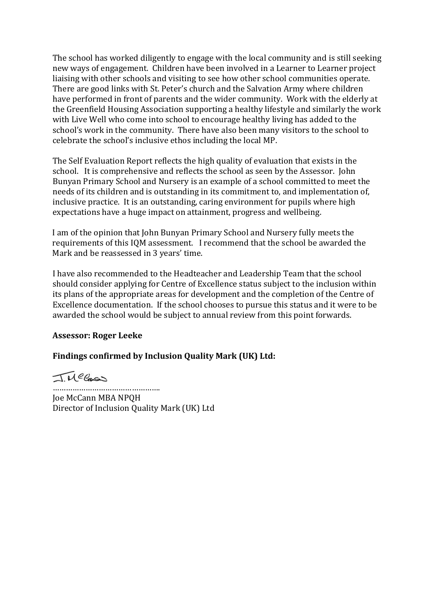The school has worked diligently to engage with the local community and is still seeking new ways of engagement. Children have been involved in a Learner to Learner project liaising with other schools and visiting to see how other school communities operate. There are good links with St. Peter's church and the Salvation Army where children have performed in front of parents and the wider community. Work with the elderly at the Greenfield Housing Association supporting a healthy lifestyle and similarly the work with Live Well who come into school to encourage healthy living has added to the school's work in the community. There have also been many visitors to the school to celebrate the school's inclusive ethos including the local MP.

The Self Evaluation Report reflects the high quality of evaluation that exists in the school. It is comprehensive and reflects the school as seen by the Assessor. John Bunyan Primary School and Nursery is an example of a school committed to meet the needs of its children and is outstanding in its commitment to, and implementation of, inclusive practice. It is an outstanding, caring environment for pupils where high expectations have a huge impact on attainment, progress and wellbeing.

I am of the opinion that John Bunyan Primary School and Nursery fully meets the requirements of this IQM assessment. I recommend that the school be awarded the Mark and be reassessed in 3 years' time.

I have also recommended to the Headteacher and Leadership Team that the school should consider applying for Centre of Excellence status subject to the inclusion within its plans of the appropriate areas for development and the completion of the Centre of Excellence documentation. If the school chooses to pursue this status and it were to be awarded the school would be subject to annual review from this point forwards.

# **Assessor: Roger Leeke**

# **Findings confirmed by Inclusion Quality Mark (UK) Ltd:**

IMCCass

………………………………… Joe McCann MBA NPQH Director of Inclusion Quality Mark (UK) Ltd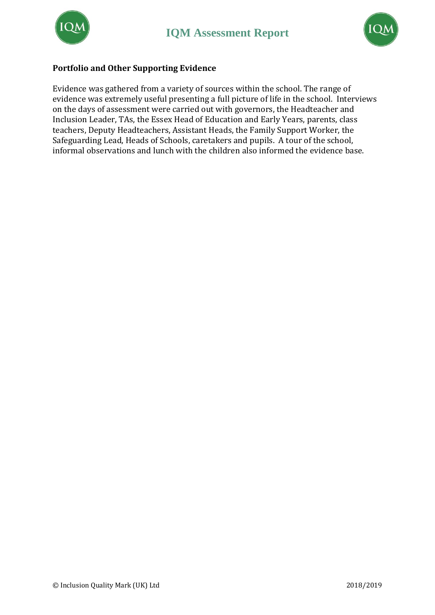



### **Portfolio and Other Supporting Evidence**

Evidence was gathered from a variety of sources within the school. The range of evidence was extremely useful presenting a full picture of life in the school. Interviews on the days of assessment were carried out with governors, the Headteacher and Inclusion Leader, TAs, the Essex Head of Education and Early Years, parents, class teachers, Deputy Headteachers, Assistant Heads, the Family Support Worker, the Safeguarding Lead, Heads of Schools, caretakers and pupils. A tour of the school, informal observations and lunch with the children also informed the evidence base.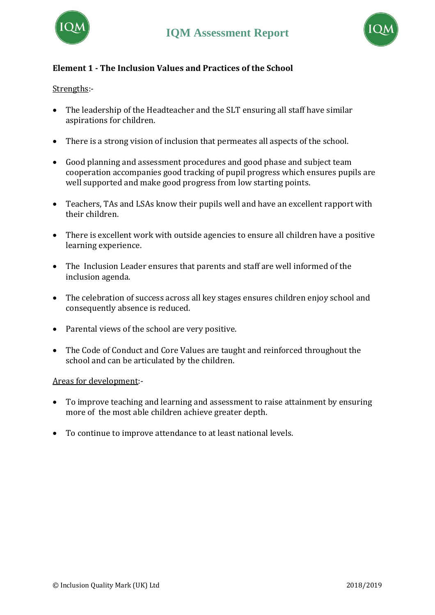



# **Element 1 - The Inclusion Values and Practices of the School**

## Strengths:-

- The leadership of the Headteacher and the SLT ensuring all staff have similar aspirations for children.
- There is a strong vision of inclusion that permeates all aspects of the school.
- Good planning and assessment procedures and good phase and subject team cooperation accompanies good tracking of pupil progress which ensures pupils are well supported and make good progress from low starting points.
- Teachers, TAs and LSAs know their pupils well and have an excellent rapport with their children.
- There is excellent work with outside agencies to ensure all children have a positive learning experience.
- The Inclusion Leader ensures that parents and staff are well informed of the inclusion agenda.
- The celebration of success across all key stages ensures children enjoy school and consequently absence is reduced.
- Parental views of the school are very positive.
- The Code of Conduct and Core Values are taught and reinforced throughout the school and can be articulated by the children.

### Areas for development:-

- To improve teaching and learning and assessment to raise attainment by ensuring more of the most able children achieve greater depth.
- To continue to improve attendance to at least national levels.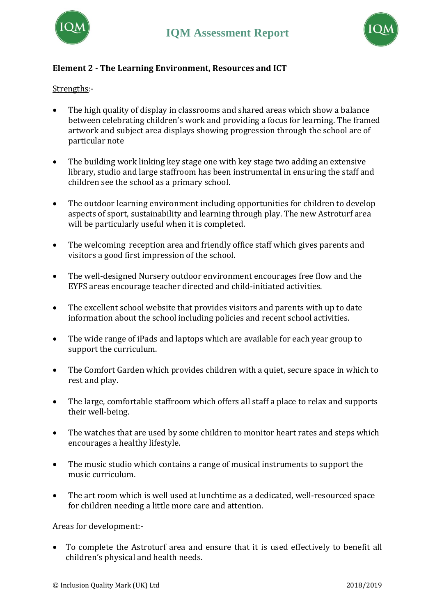



# **Element 2 - The Learning Environment, Resources and ICT**

## Strengths:-

- The high quality of display in classrooms and shared areas which show a balance between celebrating children's work and providing a focus for learning. The framed artwork and subject area displays showing progression through the school are of particular note
- The building work linking key stage one with key stage two adding an extensive library, studio and large staffroom has been instrumental in ensuring the staff and children see the school as a primary school.
- The outdoor learning environment including opportunities for children to develop aspects of sport, sustainability and learning through play. The new Astroturf area will be particularly useful when it is completed.
- The welcoming reception area and friendly office staff which gives parents and visitors a good first impression of the school.
- The well-designed Nursery outdoor environment encourages free flow and the EYFS areas encourage teacher directed and child-initiated activities.
- The excellent school website that provides visitors and parents with up to date information about the school including policies and recent school activities.
- The wide range of iPads and laptops which are available for each year group to support the curriculum.
- The Comfort Garden which provides children with a quiet, secure space in which to rest and play.
- The large, comfortable staffroom which offers all staff a place to relax and supports their well-being.
- The watches that are used by some children to monitor heart rates and steps which encourages a healthy lifestyle.
- The music studio which contains a range of musical instruments to support the music curriculum.
- The art room which is well used at lunchtime as a dedicated, well-resourced space for children needing a little more care and attention.

### Areas for development:-

• To complete the Astroturf area and ensure that it is used effectively to benefit all children's physical and health needs.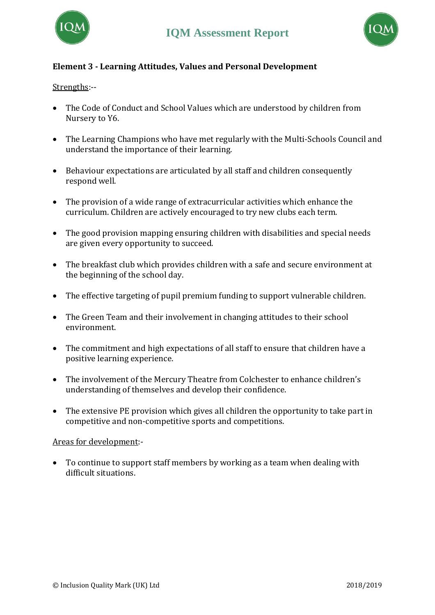



# **Element 3 - Learning Attitudes, Values and Personal Development**

### Strengths:--

- The Code of Conduct and School Values which are understood by children from Nursery to Y6.
- The Learning Champions who have met regularly with the Multi-Schools Council and understand the importance of their learning.
- Behaviour expectations are articulated by all staff and children consequently respond well.
- The provision of a wide range of extracurricular activities which enhance the curriculum. Children are actively encouraged to try new clubs each term.
- The good provision mapping ensuring children with disabilities and special needs are given every opportunity to succeed.
- The breakfast club which provides children with a safe and secure environment at the beginning of the school day.
- The effective targeting of pupil premium funding to support vulnerable children.
- The Green Team and their involvement in changing attitudes to their school environment.
- The commitment and high expectations of all staff to ensure that children have a positive learning experience.
- The involvement of the Mercury Theatre from Colchester to enhance children's understanding of themselves and develop their confidence.
- The extensive PE provision which gives all children the opportunity to take part in competitive and non-competitive sports and competitions.

### Areas for development:-

• To continue to support staff members by working as a team when dealing with difficult situations.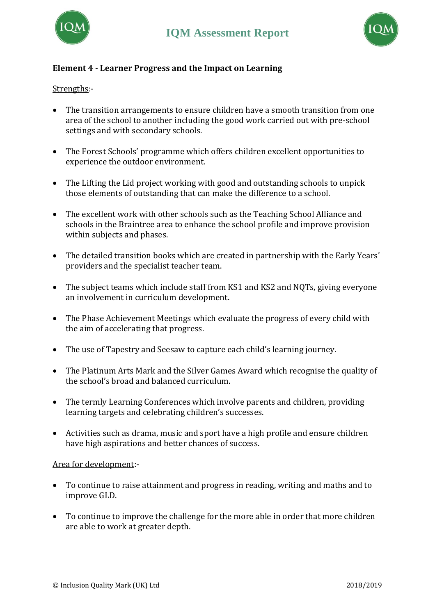



# **Element 4 - Learner Progress and the Impact on Learning**

## Strengths:-

- The transition arrangements to ensure children have a smooth transition from one area of the school to another including the good work carried out with pre-school settings and with secondary schools.
- The Forest Schools' programme which offers children excellent opportunities to experience the outdoor environment.
- The Lifting the Lid project working with good and outstanding schools to unpick those elements of outstanding that can make the difference to a school.
- The excellent work with other schools such as the Teaching School Alliance and schools in the Braintree area to enhance the school profile and improve provision within subjects and phases.
- The detailed transition books which are created in partnership with the Early Years' providers and the specialist teacher team.
- The subject teams which include staff from KS1 and KS2 and NQTs, giving everyone an involvement in curriculum development.
- The Phase Achievement Meetings which evaluate the progress of every child with the aim of accelerating that progress.
- The use of Tapestry and Seesaw to capture each child's learning journey.
- The Platinum Arts Mark and the Silver Games Award which recognise the quality of the school's broad and balanced curriculum.
- The termly Learning Conferences which involve parents and children, providing learning targets and celebrating children's successes.
- Activities such as drama, music and sport have a high profile and ensure children have high aspirations and better chances of success.

### Area for development:-

- To continue to raise attainment and progress in reading, writing and maths and to improve GLD.
- To continue to improve the challenge for the more able in order that more children are able to work at greater depth.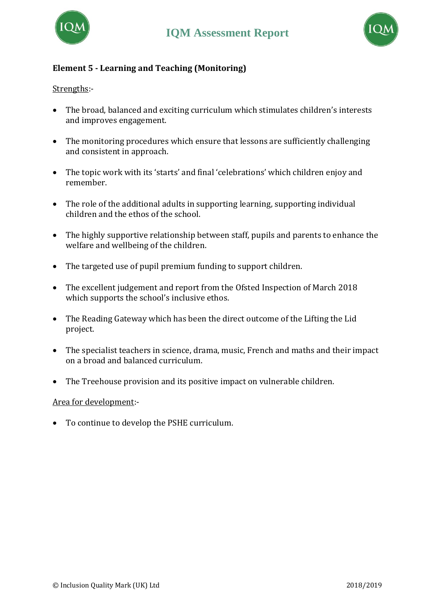



# **Element 5 - Learning and Teaching (Monitoring)**

### Strengths:-

- The broad, balanced and exciting curriculum which stimulates children's interests and improves engagement.
- The monitoring procedures which ensure that lessons are sufficiently challenging and consistent in approach.
- The topic work with its 'starts' and final 'celebrations' which children enjoy and remember.
- The role of the additional adults in supporting learning, supporting individual children and the ethos of the school.
- The highly supportive relationship between staff, pupils and parents to enhance the welfare and wellbeing of the children.
- The targeted use of pupil premium funding to support children.
- The excellent judgement and report from the Ofsted Inspection of March 2018 which supports the school's inclusive ethos.
- The Reading Gateway which has been the direct outcome of the Lifting the Lid project.
- The specialist teachers in science, drama, music, French and maths and their impact on a broad and balanced curriculum.
- The Treehouse provision and its positive impact on vulnerable children.

### Area for development:-

• To continue to develop the PSHE curriculum.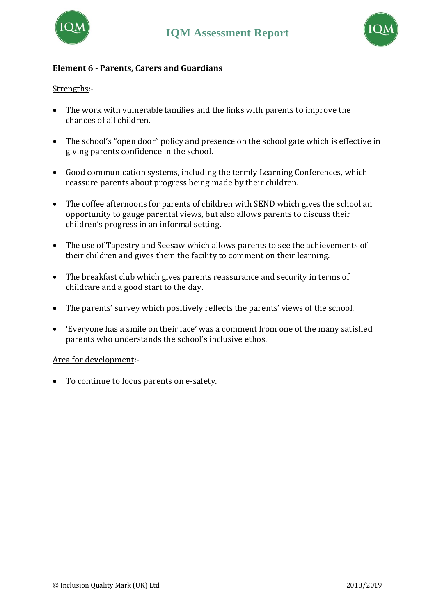



## **Element 6 - Parents, Carers and Guardians**

### Strengths:-

- The work with vulnerable families and the links with parents to improve the chances of all children.
- The school's "open door" policy and presence on the school gate which is effective in giving parents confidence in the school.
- Good communication systems, including the termly Learning Conferences, which reassure parents about progress being made by their children.
- The coffee afternoons for parents of children with SEND which gives the school an opportunity to gauge parental views, but also allows parents to discuss their children's progress in an informal setting.
- The use of Tapestry and Seesaw which allows parents to see the achievements of their children and gives them the facility to comment on their learning.
- The breakfast club which gives parents reassurance and security in terms of childcare and a good start to the day.
- The parents' survey which positively reflects the parents' views of the school.
- 'Everyone has a smile on their face' was a comment from one of the many satisfied parents who understands the school's inclusive ethos.

### Area for development:-

• To continue to focus parents on e-safety.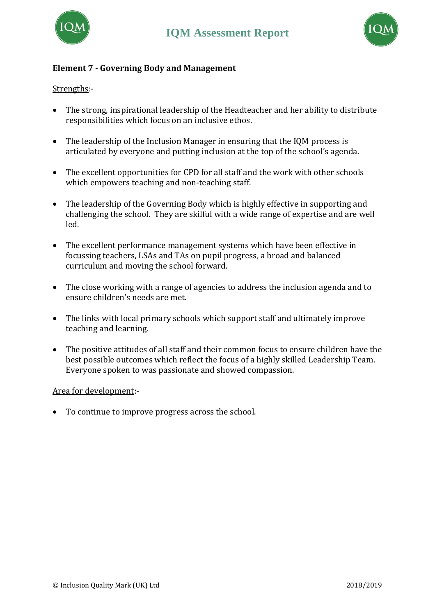



# **Element 7 - Governing Body and Management**

### Strengths:-

- The strong, inspirational leadership of the Headteacher and her ability to distribute responsibilities which focus on an inclusive ethos.
- The leadership of the Inclusion Manager in ensuring that the IQM process is articulated by everyone and putting inclusion at the top of the school's agenda.
- The excellent opportunities for CPD for all staff and the work with other schools which empowers teaching and non-teaching staff.
- The leadership of the Governing Body which is highly effective in supporting and challenging the school. They are skilful with a wide range of expertise and are well led.
- The excellent performance management systems which have been effective in focussing teachers, LSAs and TAs on pupil progress, a broad and balanced curriculum and moving the school forward.
- The close working with a range of agencies to address the inclusion agenda and to ensure children's needs are met.
- The links with local primary schools which support staff and ultimately improve teaching and learning.
- The positive attitudes of all staff and their common focus to ensure children have the best possible outcomes which reflect the focus of a highly skilled Leadership Team. Everyone spoken to was passionate and showed compassion.

### Area for development:-

• To continue to improve progress across the school.